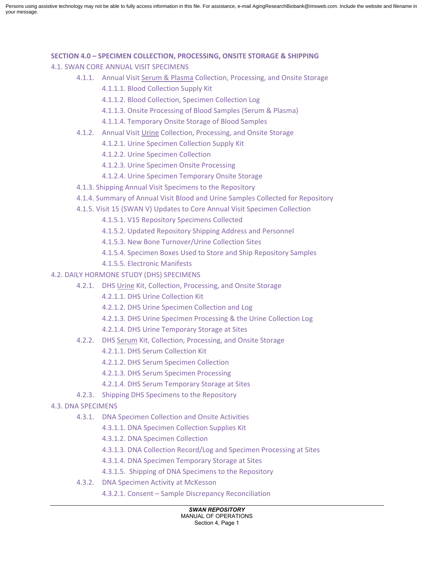Persons using assistive technology may not be able to fully access information in this file. For assistance, e-mail AgingResearchBiobank@imsweb.com. Include the website and filename in your message.

#### **SECTION 4.0 – SPECIMEN COLLECTION, PROCESSING, ONSITE STORAGE & SHIPPING**

- 4.1. SWAN CORE ANNUAL VISIT SPECIMENS
	- 4.1.1. Annual Visit Serum & Plasma Collection, Processing, and Onsite Storage
		- 4.1.1.1. Blood Collection Supply Kit
		- 4.1.1.2. Blood Collection, Specimen Collection Log
		- 4.1.1.3. Onsite Processing of Blood Samples (Serum & Plasma)
		- 4.1.1.4. Temporary Onsite Storage of Blood Samples
	- 4.1.2. Annual Visit Urine Collection, Processing, and Onsite Storage
		- 4.1.2.1. Urine Specimen Collection Supply Kit
		- 4.1.2.2. Urine Specimen Collection
		- 4.1.2.3. Urine Specimen Onsite Processing
		- 4.1.2.4. Urine Specimen Temporary Onsite Storage
	- 4.1.3. Shipping Annual Visit Specimens to the Repository
	- 4.1.4. Summary of Annual Visit Blood and Urine Samples Collected for Repository
	- 4.1.5. Visit 15 (SWAN V) Updates to Core Annual Visit Specimen Collection
		- 4.1.5.1. V15 Repository Specimens Collected
		- 4.1.5.2. Updated Repository Shipping Address and Personnel
		- 4.1.5.3. New Bone Turnover/Urine Collection Sites
		- 4.1.5.4. Specimen Boxes Used to Store and Ship Repository Samples
		- 4.1.5.5. Electronic Manifests
- 4.2. DAILY HORMONE STUDY (DHS) SPECIMENS
	- 4.2.1. DHS Urine Kit, Collection, Processing, and Onsite Storage
		- 4.2.1.1. DHS Urine Collection Kit
		- 4.2.1.2. DHS Urine Specimen Collection and Log
		- 4.2.1.3. DHS Urine Specimen Processing & the Urine Collection Log
		- 4.2.1.4. DHS Urine Temporary Storage at Sites
	- 4.2.2. DHS Serum Kit, Collection, Processing, and Onsite Storage
		- 4.2.1.1. DHS Serum Collection Kit
		- 4.2.1.2. DHS Serum Specimen Collection
		- 4.2.1.3. DHS Serum Specimen Processing
		- 4.2.1.4. DHS Serum Temporary Storage at Sites
	- 4.2.3. Shipping DHS Specimens to the Repository
- 4.3. DNA SPECIMENS
	- 4.3.1. DNA Specimen Collection and Onsite Activities
		- 4.3.1.1. DNA Specimen Collection Supplies Kit
		- 4.3.1.2. DNA Specimen Collection
		- 4.3.1.3. DNA Collection Record/Log and Specimen Processing at Sites
		- 4.3.1.4. DNA Specimen Temporary Storage at Sites
		- 4.3.1.5. Shipping of DNA Specimens to the Repository
	- 4.3.2. DNA Specimen Activity at McKesson
		- 4.3.2.1. Consent Sample Discrepancy Reconciliation

#### *SWAN REPOSITORY*

MANUAL OF OPERATIONS Section 4, Page 1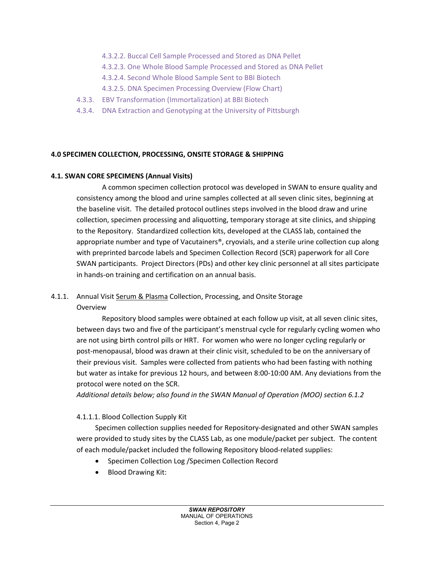- 4.3.2.2. Buccal Cell Sample Processed and Stored as DNA Pellet
- 4.3.2.3. One Whole Blood Sample Processed and Stored as DNA Pellet
- 4.3.2.4. Second Whole Blood Sample Sent to BBI Biotech
- 4.3.2.5. DNA Specimen Processing Overview (Flow Chart)
- 4.3.3. EBV Transformation (Immortalization) at BBI Biotech
- 4.3.4. DNA Extraction and Genotyping at the University of Pittsburgh

## **4.0 SPECIMEN COLLECTION, PROCESSING, ONSITE STORAGE & SHIPPING**

## **4.1. SWAN CORE SPECIMENS (Annual Visits)**

A common specimen collection protocol was developed in SWAN to ensure quality and consistency among the blood and urine samples collected at all seven clinic sites, beginning at the baseline visit. The detailed protocol outlines steps involved in the blood draw and urine collection, specimen processing and aliquotting, temporary storage at site clinics, and shipping to the Repository. Standardized collection kits, developed at the CLASS lab, contained the appropriate number and type of Vacutainers®, cryovials, and a sterile urine collection cup along with preprinted barcode labels and Specimen Collection Record (SCR) paperwork for all Core SWAN participants. Project Directors (PDs) and other key clinic personnel at all sites participate in hands-on training and certification on an annual basis.

## 4.1.1. Annual Visit Serum & Plasma Collection, Processing, and Onsite Storage Overview

Repository blood samples were obtained at each follow up visit, at all seven clinic sites, between days two and five of the participant's menstrual cycle for regularly cycling women who are not using birth control pills or HRT. For women who were no longer cycling regularly or post-menopausal, blood was drawn at their clinic visit, scheduled to be on the anniversary of their previous visit. Samples were collected from patients who had been fasting with nothing but water as intake for previous 12 hours, and between 8:00-10:00 AM. Any deviations from the protocol were noted on the SCR.

*Additional details below; also found in the SWAN Manual of Operation (MOO) section 6.1.2*

## 4.1.1.1. Blood Collection Supply Kit

Specimen collection supplies needed for Repository-designated and other SWAN samples were provided to study sites by the CLASS Lab, as one module/packet per subject. The content of each module/packet included the following Repository blood-related supplies:

- Specimen Collection Log /Specimen Collection Record
- Blood Drawing Kit: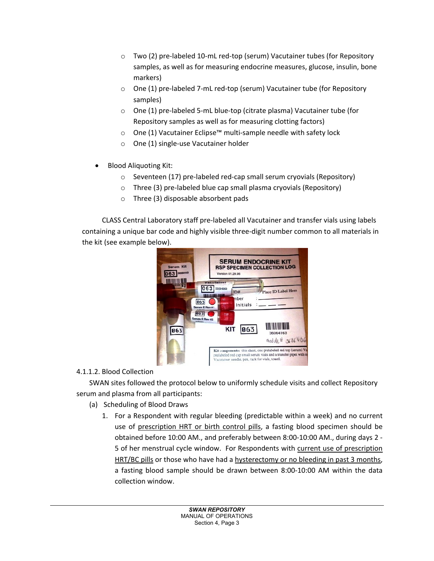- $\circ$  Two (2) pre-labeled 10-mL red-top (serum) Vacutainer tubes (for Repository samples, as well as for measuring endocrine measures, glucose, insulin, bone markers)
- o One (1) pre-labeled 7-mL red-top (serum) Vacutainer tube (for Repository samples)
- o One (1) pre-labeled 5-mL blue-top (citrate plasma) Vacutainer tube (for Repository samples as well as for measuring clotting factors)
- o One (1) Vacutainer Eclipse™ multi-sample needle with safety lock
- o One (1) single-use Vacutainer holder
- Blood Aliquoting Kit:
	- o Seventeen (17) pre-labeled red-cap small serum cryovials (Repository)
	- o Three (3) pre-labeled blue cap small plasma cryovials (Repository)
	- o Three (3) disposable absorbent pads

CLASS Central Laboratory staff pre-labeled all Vacutainer and transfer vials using labels containing a unique bar code and highly visible three-digit number common to all materials in the kit (see example below).



## 4.1.1.2. Blood Collection

SWAN sites followed the protocol below to uniformly schedule visits and collect Repository serum and plasma from all participants:

- (a) Scheduling of Blood Draws
	- 1. For a Respondent with regular bleeding (predictable within a week) and no current use of prescription HRT or birth control pills, a fasting blood specimen should be obtained before 10:00 AM., and preferably between 8:00-10:00 AM., during days 2 - 5 of her menstrual cycle window. For Respondents with current use of prescription HRT/BC pills or those who have had a hysterectomy or no bleeding in past 3 months, a fasting blood sample should be drawn between 8:00-10:00 AM within the data collection window.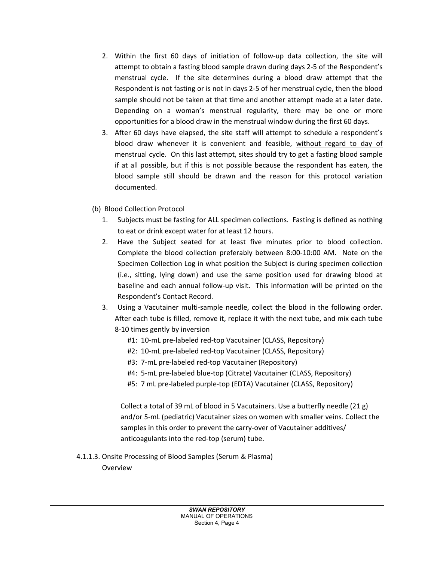- 2. Within the first 60 days of initiation of follow-up data collection, the site will attempt to obtain a fasting blood sample drawn during days 2-5 of the Respondent's menstrual cycle. If the site determines during a blood draw attempt that the Respondent is not fasting or is not in days 2-5 of her menstrual cycle, then the blood sample should not be taken at that time and another attempt made at a later date. Depending on a woman's menstrual regularity, there may be one or more opportunities for a blood draw in the menstrual window during the first 60 days.
- 3. After 60 days have elapsed, the site staff will attempt to schedule a respondent's blood draw whenever it is convenient and feasible, without regard to day of menstrual cycle. On this last attempt, sites should try to get a fasting blood sample if at all possible, but if this is not possible because the respondent has eaten, the blood sample still should be drawn and the reason for this protocol variation documented.
- (b) Blood Collection Protocol
	- 1. Subjects must be fasting for ALL specimen collections. Fasting is defined as nothing to eat or drink except water for at least 12 hours.
	- 2. Have the Subject seated for at least five minutes prior to blood collection. Complete the blood collection preferably between 8:00-10:00 AM. Note on the Specimen Collection Log in what position the Subject is during specimen collection (i.e., sitting, lying down) and use the same position used for drawing blood at baseline and each annual follow-up visit. This information will be printed on the Respondent's Contact Record.
	- 3. Using a Vacutainer multi-sample needle, collect the blood in the following order. After each tube is filled, remove it, replace it with the next tube, and mix each tube 8-10 times gently by inversion
		- #1: 10-mL pre-labeled red-top Vacutainer (CLASS, Repository)
		- #2: 10-mL pre-labeled red-top Vacutainer (CLASS, Repository)
		- #3: 7-mL pre-labeled red-top Vacutainer (Repository)
		- #4: 5-mL pre-labeled blue-top (Citrate) Vacutainer (CLASS, Repository)
		- #5: 7 mL pre-labeled purple-top (EDTA) Vacutainer (CLASS, Repository)

Collect a total of 39 mL of blood in 5 Vacutainers. Use a butterfly needle  $(21 g)$ and/or 5-mL (pediatric) Vacutainer sizes on women with smaller veins. Collect the samples in this order to prevent the carry-over of Vacutainer additives/ anticoagulants into the red-top (serum) tube.

4.1.1.3. Onsite Processing of Blood Samples (Serum & Plasma)

Overview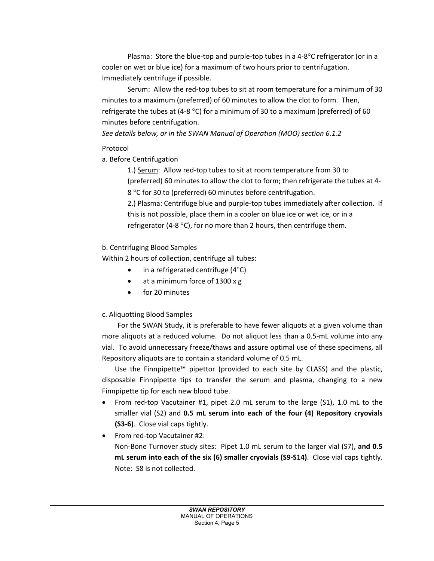Plasma: Store the blue-top and purple-top tubes in a 4-8°C refrigerator (or in a cooler on wet or blue ice) for a maximum of two hours prior to centrifugation. Immediately centrifuge if possible.

Serum: Allow the red-top tubes to sit at room temperature for a minimum of 30 minutes to a maximum (preferred) of 60 minutes to allow the clot to form. Then, refrigerate the tubes at (4-8 °C) for a minimum of 30 to a maximum (preferred) of 60 minutes before centrifugation.

*See details below, or in the SWAN Manual of Operation (MOO) section 6.1.2*

## Protocol

a. Before Centrifugation

1.) Serum: Allow red-top tubes to sit at room temperature from 30 to (preferred) 60 minutes to allow the clot to form; then refrigerate the tubes at 4- 8 °C for 30 to (preferred) 60 minutes before centrifugation.

2.) Plasma: Centrifuge blue and purple-top tubes immediately after collection. If this is not possible, place them in a cooler on blue ice or wet ice, or in a refrigerator (4-8 °C), for no more than 2 hours, then centrifuge them.

## b. Centrifuging Blood Samples

Within 2 hours of collection, centrifuge all tubes:

- in a refrigerated centrifuge  $(4^{\circ}C)$
- at a minimum force of 1300 x g
- for 20 minutes

# c. Aliquotting Blood Samples

For the SWAN Study, it is preferable to have fewer aliquots at a given volume than more aliquots at a reduced volume. Do not aliquot less than a 0.5-mL volume into any vial. To avoid unnecessary freeze/thaws and assure optimal use of these specimens, all Repository aliquots are to contain a standard volume of 0.5 mL.

Use the Finnpipette™ pipettor (provided to each site by CLASS) and the plastic, disposable Finnpipette tips to transfer the serum and plasma, changing to a new Finnpipette tip for each new blood tube.

- From red-top Vacutainer #1, pipet 2.0 mL serum to the large (S1), 1.0 mL to the smaller vial (S2) and **0.5 mL serum into each of the four (4) Repository cryovials (S3-6)**. Close vial caps tightly.
- From red-top Vacutainer #2:

Non-Bone Turnover study sites: Pipet 1.0 mL serum to the larger vial (S7), **and 0.5 mL serum into each of the six (6) smaller cryovials (S9-S14)**. Close vial caps tightly. Note: S8 is not collected.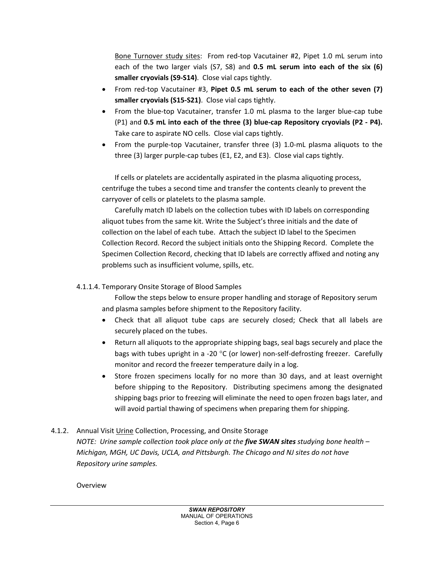Bone Turnover study sites: From red-top Vacutainer #2, Pipet 1.0 mL serum into each of the two larger vials (S7, S8) and **0.5 mL serum into each of the six (6) smaller cryovials (S9-S14)**. Close vial caps tightly.

- From red-top Vacutainer #3, **Pipet 0.5 mL serum to each of the other seven (7) smaller cryovials (S15-S21)**. Close vial caps tightly.
- From the blue-top Vacutainer, transfer 1.0 mL plasma to the larger blue-cap tube (P1) and **0.5 mL into each of the three (3) blue-cap Repository cryovials (P2 - P4).** Take care to aspirate NO cells. Close vial caps tightly.
- From the purple-top Vacutainer, transfer three (3) 1.0-mL plasma aliquots to the three (3) larger purple-cap tubes (E1, E2, and E3). Close vial caps tightly.

If cells or platelets are accidentally aspirated in the plasma aliquoting process, centrifuge the tubes a second time and transfer the contents cleanly to prevent the carryover of cells or platelets to the plasma sample.

Carefully match ID labels on the collection tubes with ID labels on corresponding aliquot tubes from the same kit. Write the Subject's three initials and the date of collection on the label of each tube. Attach the subject ID label to the Specimen Collection Record. Record the subject initials onto the Shipping Record. Complete the Specimen Collection Record, checking that ID labels are correctly affixed and noting any problems such as insufficient volume, spills, etc.

## 4.1.1.4. Temporary Onsite Storage of Blood Samples

Follow the steps below to ensure proper handling and storage of Repository serum and plasma samples before shipment to the Repository facility.

- Check that all aliquot tube caps are securely closed; Check that all labels are securely placed on the tubes.
- Return all aliquots to the appropriate shipping bags, seal bags securely and place the bags with tubes upright in a -20 °C (or lower) non-self-defrosting freezer. Carefully monitor and record the freezer temperature daily in a log.
- Store frozen specimens locally for no more than 30 days, and at least overnight before shipping to the Repository. Distributing specimens among the designated shipping bags prior to freezing will eliminate the need to open frozen bags later, and will avoid partial thawing of specimens when preparing them for shipping.
- 4.1.2. Annual Visit Urine Collection, Processing, and Onsite Storage *NOTE: Urine sample collection took place only at the five SWAN sites studying bone health – Michigan, MGH, UC Davis, UCLA, and Pittsburgh. The Chicago and NJ sites do not have Repository urine samples.*

Overview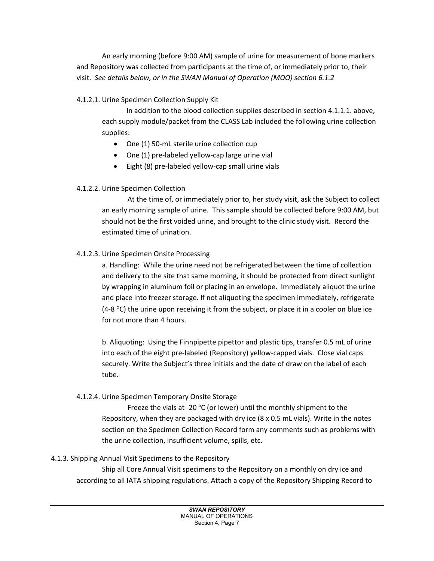An early morning (before 9:00 AM) sample of urine for measurement of bone markers and Repository was collected from participants at the time of, or immediately prior to, their visit. *See details below, or in the SWAN Manual of Operation (MOO) section 6.1.2*

## 4.1.2.1. Urine Specimen Collection Supply Kit

In addition to the blood collection supplies described in section 4.1.1.1. above, each supply module/packet from the CLASS Lab included the following urine collection supplies:

- One (1) 50-mL sterile urine collection cup
- One (1) pre-labeled yellow-cap large urine vial
- Eight (8) pre-labeled yellow-cap small urine vials

# 4.1.2.2. Urine Specimen Collection

At the time of, or immediately prior to, her study visit, ask the Subject to collect an early morning sample of urine. This sample should be collected before 9:00 AM, but should not be the first voided urine, and brought to the clinic study visit. Record the estimated time of urination.

# 4.1.2.3. Urine Specimen Onsite Processing

a. Handling: While the urine need not be refrigerated between the time of collection and delivery to the site that same morning, it should be protected from direct sunlight by wrapping in aluminum foil or placing in an envelope. Immediately aliquot the urine and place into freezer storage. If not aliquoting the specimen immediately, refrigerate (4-8  $\degree$ C) the urine upon receiving it from the subject, or place it in a cooler on blue ice for not more than 4 hours.

b. Aliquoting: Using the Finnpipette pipettor and plastic tips, transfer 0.5 mL of urine into each of the eight pre-labeled (Repository) yellow-capped vials. Close vial caps securely. Write the Subject's three initials and the date of draw on the label of each tube.

## 4.1.2.4. Urine Specimen Temporary Onsite Storage

Freeze the vials at -20 $\degree$ C (or lower) until the monthly shipment to the Repository, when they are packaged with dry ice (8 x 0.5 mL vials). Write in the notes section on the Specimen Collection Record form any comments such as problems with the urine collection, insufficient volume, spills, etc.

## 4.1.3. Shipping Annual Visit Specimens to the Repository

Ship all Core Annual Visit specimens to the Repository on a monthly on dry ice and according to all IATA shipping regulations. Attach a copy of the Repository Shipping Record to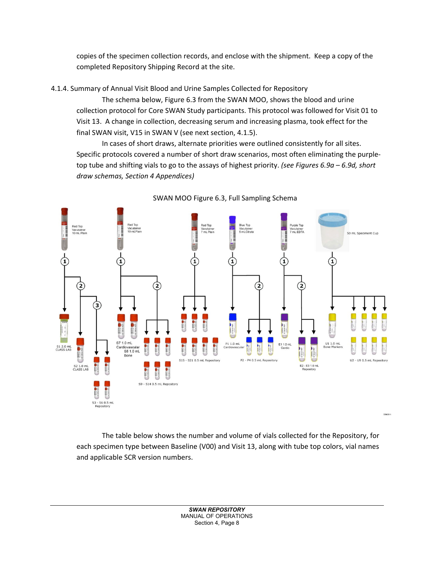copies of the specimen collection records, and enclose with the shipment. Keep a copy of the completed Repository Shipping Record at the site.

4.1.4. Summary of Annual Visit Blood and Urine Samples Collected for Repository

The schema below, Figure 6.3 from the SWAN MOO, shows the blood and urine collection protocol for Core SWAN Study participants. This protocol was followed for Visit 01 to Visit 13. A change in collection, decreasing serum and increasing plasma, took effect for the final SWAN visit, V15 in SWAN V (see next section, 4.1.5).

In cases of short draws, alternate priorities were outlined consistently for all sites. Specific protocols covered a number of short draw scenarios, most often eliminating the purpletop tube and shifting vials to go to the assays of highest priority. *(see Figures 6.9a – 6.9d, short draw schemas, Section 4 Appendices)*



SWAN MOO Figure 6.3, Full Sampling Schema

The table below shows the number and volume of vials collected for the Repository, for each specimen type between Baseline (V00) and Visit 13, along with tube top colors, vial names and applicable SCR version numbers.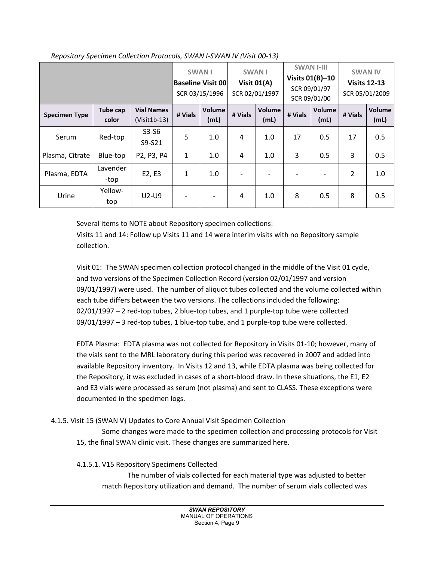|                      |                          |                                     | <b>SWAN I</b><br><b>Baseline Visit 00</b><br>SCR 03/15/1996 |                          | <b>SWAN I</b><br>Visit $01(A)$<br>SCR 02/01/1997 |                          | <b>SWAN I-III</b><br>Visits $01(B)-10$<br>SCR 09/01/97<br>SCR 09/01/00 |                | <b>SWAN IV</b><br><b>Visits 12-13</b><br>SCR 05/01/2009 |                |
|----------------------|--------------------------|-------------------------------------|-------------------------------------------------------------|--------------------------|--------------------------------------------------|--------------------------|------------------------------------------------------------------------|----------------|---------------------------------------------------------|----------------|
| <b>Specimen Type</b> | <b>Tube cap</b><br>color | <b>Vial Names</b><br>$(Visit1b-13)$ | # Vials                                                     | Volume<br>(mL)           | # Vials                                          | Volume<br>(mL)           | # Vials                                                                | Volume<br>(mL) | # Vials                                                 | Volume<br>(mL) |
| Serum                | Red-top                  | $S3-S6$<br>S9-S21                   | 5                                                           | 1.0                      | 4                                                | 1.0                      | 17                                                                     | 0.5            | 17                                                      | 0.5            |
| Plasma, Citrate      | Blue-top                 | P2, P3, P4                          | $\mathbf{1}$                                                | 1.0                      | 4                                                | 1.0                      | 3                                                                      | 0.5            | 3                                                       | 0.5            |
| Plasma, EDTA         | Lavender<br>-top         | E2, E3                              | $\mathbf{1}$                                                | 1.0                      | $\overline{\phantom{a}}$                         | $\overline{\phantom{a}}$ |                                                                        |                | $\overline{2}$                                          | 1.0            |
| Urine                | Yellow-<br>top           | $U2-U9$                             | $\overline{\phantom{0}}$                                    | $\overline{\phantom{a}}$ | 4                                                | 1.0                      | 8                                                                      | 0.5            | 8                                                       | 0.5            |

*Repository Specimen Collection Protocols, SWAN I-SWAN IV (Visit 00-13)*

Several items to NOTE about Repository specimen collections:

Visits 11 and 14: Follow up Visits 11 and 14 were interim visits with no Repository sample collection.

Visit 01: The SWAN specimen collection protocol changed in the middle of the Visit 01 cycle, and two versions of the Specimen Collection Record (version 02/01/1997 and version 09/01/1997) were used. The number of aliquot tubes collected and the volume collected within each tube differs between the two versions. The collections included the following: 02/01/1997 – 2 red-top tubes, 2 blue-top tubes, and 1 purple-top tube were collected 09/01/1997 – 3 red-top tubes, 1 blue-top tube, and 1 purple-top tube were collected.

EDTA Plasma: EDTA plasma was not collected for Repository in Visits 01-10; however, many of the vials sent to the MRL laboratory during this period was recovered in 2007 and added into available Repository inventory. In Visits 12 and 13, while EDTA plasma was being collected for the Repository, it was excluded in cases of a short-blood draw. In these situations, the E1, E2 and E3 vials were processed as serum (not plasma) and sent to CLASS. These exceptions were documented in the specimen logs.

## 4.1.5. Visit 15 (SWAN V) Updates to Core Annual Visit Specimen Collection

Some changes were made to the specimen collection and processing protocols for Visit 15, the final SWAN clinic visit. These changes are summarized here.

## 4.1.5.1. V15 Repository Specimens Collected

The number of vials collected for each material type was adjusted to better match Repository utilization and demand. The number of serum vials collected was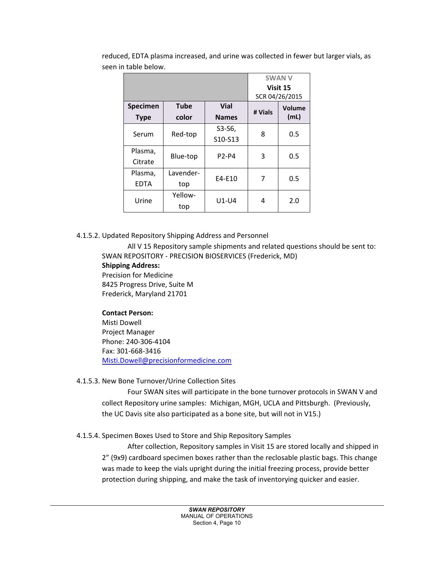|             |             |              |         | <b>SWAN V</b>  |  |
|-------------|-------------|--------------|---------|----------------|--|
|             |             |              |         | Visit 15       |  |
|             |             |              |         | SCR 04/26/2015 |  |
| Specimen    | <b>Tube</b> | <b>Vial</b>  | # Vials | Volume<br>(mL) |  |
| <b>Type</b> | color       | <b>Names</b> |         |                |  |
| Serum       | Red-top     | S3-S6,       | 8       | 0.5            |  |
|             |             | S10-S13      |         |                |  |
| Plasma,     | Blue-top    | <b>P2-P4</b> | 3       | 0.5            |  |
| Citrate     |             |              |         |                |  |
| Plasma,     | Lavender-   | $E4-E10$     | 7       | 0.5            |  |
| <b>EDTA</b> | top         |              |         |                |  |
| Urine       | Yellow-     | $U1-U4$      | 4       | 2.0            |  |
|             | top         |              |         |                |  |

reduced, EDTA plasma increased, and urine was collected in fewer but larger vials, as seen in table below.

#### 4.1.5.2. Updated Repository Shipping Address and Personnel

All V 15 Repository sample shipments and related questions should be sent to: SWAN REPOSITORY - PRECISION BIOSERVICES (Frederick, MD) **Shipping Address:** Precision for Medicine 8425 Progress Drive, Suite M Frederick, Maryland 21701

#### **Contact Person:**

Misti Dowell Project Manager Phone: 240-306-4104 Fax: 301-668-3416 [Misti.Dowell@precisionformedicine.com](mailto:Misti.Dowell@precisionformedicine.com)

#### 4.1.5.3. New Bone Turnover/Urine Collection Sites

Four SWAN sites will participate in the bone turnover protocols in SWAN V and collect Repository urine samples: Michigan, MGH, UCLA and Pittsburgh. (Previously, the UC Davis site also participated as a bone site, but will not in V15.)

## 4.1.5.4. Specimen Boxes Used to Store and Ship Repository Samples

After collection, Repository samples in Visit 15 are stored locally and shipped in 2" (9x9) cardboard specimen boxes rather than the reclosable plastic bags. This change was made to keep the vials upright during the initial freezing process, provide better protection during shipping, and make the task of inventorying quicker and easier.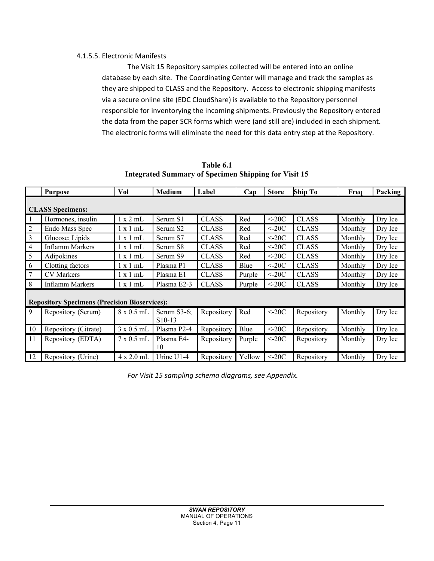## 4.1.5.5. Electronic Manifests

The Visit 15 Repository samples collected will be entered into an online database by each site. The Coordinating Center will manage and track the samples as they are shipped to CLASS and the Repository. Access to electronic shipping manifests via a secure online site (EDC CloudShare) is available to the Repository personnel responsible for inventorying the incoming shipments. Previously the Repository entered the data from the paper SCR forms which were (and still are) included in each shipment. The electronic forms will eliminate the need for this data entry step at the Repository.

**Table 6.1 Integrated Summary of Specimen Shipping for Visit 15**

|                                                      | <b>Purpose</b>       | Vol               | <b>Medium</b>                      | Label        | Cap    | <b>Store</b> | <b>Ship To</b> | Freq    | Packing |
|------------------------------------------------------|----------------------|-------------------|------------------------------------|--------------|--------|--------------|----------------|---------|---------|
| <b>CLASS Specimens:</b>                              |                      |                   |                                    |              |        |              |                |         |         |
|                                                      | Hormones, insulin    | $1 \times 2$ mL   | Serum S1                           | <b>CLASS</b> | Red    | $<$ -20C     | <b>CLASS</b>   | Monthly | Dry Ice |
| $\overline{2}$                                       | Endo Mass Spec       | $1 \times 1$ mL   | Serum S2                           | <b>CLASS</b> | Red    | $<$ -20C     | <b>CLASS</b>   | Monthly | Dry Ice |
| 3                                                    | Glucose; Lipids      | 1 x 1 mL          | Serum S7                           | <b>CLASS</b> | Red    | $<$ -20C     | <b>CLASS</b>   | Monthly | Dry Ice |
| $\overline{4}$                                       | Inflamm Markers      | $1 \times 1$ mL   | Serum S8                           | <b>CLASS</b> | Red    | $<$ -20C     | <b>CLASS</b>   | Monthly | Dry Ice |
| 5                                                    | Adipokines           | 1 x 1 mL          | Serum S9                           | <b>CLASS</b> | Red    | $<$ 20C      | <b>CLASS</b>   | Monthly | Dry Ice |
| 6                                                    | Clotting factors     | $1 \times 1$ mL   | Plasma P1                          | <b>CLASS</b> | Blue   | $<$ 20C      | <b>CLASS</b>   | Monthly | Dry Ice |
| 7                                                    | <b>CV</b> Markers    | $1 \times 1$ mL   | Plasma E1                          | <b>CLASS</b> | Purple | $\leq$ 20C   | <b>CLASS</b>   | Monthly | Dry Ice |
| 8                                                    | Inflamm Markers      | 1 x 1 mL          | Plasma E2-3                        | <b>CLASS</b> | Purple | $\leq$ 20C   | <b>CLASS</b>   | Monthly | Dry Ice |
| <b>Repository Specimens (Precision Bioservices):</b> |                      |                   |                                    |              |        |              |                |         |         |
| 9                                                    | Repository (Serum)   | $8 \times 0.5$ mL | Serum S3-6;<br>S <sub>10</sub> -13 | Repository   | Red    | $<$ 20C      | Repository     | Monthly | Dry Ice |
| 10                                                   | Repository (Citrate) | $3 \times 0.5$ mL | Plasma P2-4                        | Repository   | Blue   | $<$ 20C      | Repository     | Monthly | Dry Ice |
| 11                                                   | Repository (EDTA)    | $7 \times 0.5$ mL | Plasma E4-<br>10                   | Repository   | Purple | $<$ -20C     | Repository     | Monthly | Dry Ice |
| 12                                                   | Repository (Urine)   | $4 \times 2.0$ mL | Urine $U1-4$                       | Repository   | Yellow | $<$ -20C     | Repository     | Monthly | Dry Ice |

*For Visit 15 sampling schema diagrams, see Appendix.*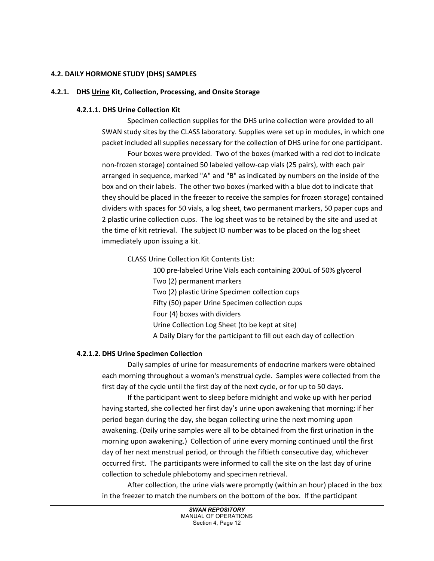#### **4.2. DAILY HORMONE STUDY (DHS) SAMPLES**

#### **4.2.1. DHS Urine Kit, Collection, Processing, and Onsite Storage**

#### **4.2.1.1. DHS Urine Collection Kit**

Specimen collection supplies for the DHS urine collection were provided to all SWAN study sites by the CLASS laboratory. Supplies were set up in modules, in which one packet included all supplies necessary for the collection of DHS urine for one participant.

Four boxes were provided. Two of the boxes (marked with a red dot to indicate non-frozen storage) contained 50 labeled yellow-cap vials (25 pairs), with each pair arranged in sequence, marked "A" and "B" as indicated by numbers on the inside of the box and on their labels. The other two boxes (marked with a blue dot to indicate that they should be placed in the freezer to receive the samples for frozen storage) contained dividers with spaces for 50 vials, a log sheet, two permanent markers, 50 paper cups and 2 plastic urine collection cups. The log sheet was to be retained by the site and used at the time of kit retrieval. The subject ID number was to be placed on the log sheet immediately upon issuing a kit.

CLASS Urine Collection Kit Contents List:

100 pre-labeled Urine Vials each containing 200uL of 50% glycerol

Two (2) permanent markers

Two (2) plastic Urine Specimen collection cups

Fifty (50) paper Urine Specimen collection cups

Four (4) boxes with dividers

Urine Collection Log Sheet (to be kept at site)

A Daily Diary for the participant to fill out each day of collection

#### **4.2.1.2. DHS Urine Specimen Collection**

Daily samples of urine for measurements of endocrine markers were obtained each morning throughout a woman's menstrual cycle. Samples were collected from the first day of the cycle until the first day of the next cycle, or for up to 50 days.

If the participant went to sleep before midnight and woke up with her period having started, she collected her first day's urine upon awakening that morning; if her period began during the day, she began collecting urine the next morning upon awakening. (Daily urine samples were all to be obtained from the first urination in the morning upon awakening.) Collection of urine every morning continued until the first day of her next menstrual period, or through the fiftieth consecutive day, whichever occurred first. The participants were informed to call the site on the last day of urine collection to schedule phlebotomy and specimen retrieval.

After collection, the urine vials were promptly (within an hour) placed in the box in the freezer to match the numbers on the bottom of the box. If the participant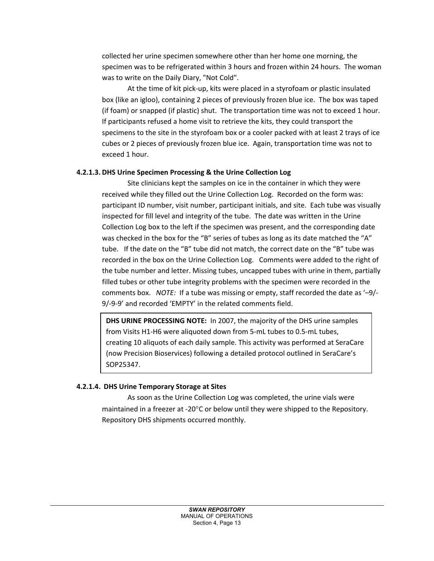collected her urine specimen somewhere other than her home one morning, the specimen was to be refrigerated within 3 hours and frozen within 24 hours. The woman was to write on the Daily Diary, "Not Cold".

At the time of kit pick-up, kits were placed in a styrofoam or plastic insulated box (like an igloo), containing 2 pieces of previously frozen blue ice. The box was taped (if foam) or snapped (if plastic) shut. The transportation time was not to exceed 1 hour. If participants refused a home visit to retrieve the kits, they could transport the specimens to the site in the styrofoam box or a cooler packed with at least 2 trays of ice cubes or 2 pieces of previously frozen blue ice. Again, transportation time was not to exceed 1 hour.

### **4.2.1.3. DHS Urine Specimen Processing & the Urine Collection Log**

Site clinicians kept the samples on ice in the container in which they were received while they filled out the Urine Collection Log. Recorded on the form was: participant ID number, visit number, participant initials, and site. Each tube was visually inspected for fill level and integrity of the tube. The date was written in the Urine Collection Log box to the left if the specimen was present, and the corresponding date was checked in the box for the "B" series of tubes as long as its date matched the "A" tube. If the date on the "B" tube did not match, the correct date on the "B" tube was recorded in the box on the Urine Collection Log. Comments were added to the right of the tube number and letter. Missing tubes, uncapped tubes with urine in them, partially filled tubes or other tube integrity problems with the specimen were recorded in the comments box. *NOTE:* If a tube was missing or empty, staff recorded the date as '–9/- 9/-9-9' and recorded 'EMPTY' in the related comments field.

**DHS URINE PROCESSING NOTE:** In 2007, the majority of the DHS urine samples from Visits H1-H6 were aliquoted down from 5-mL tubes to 0.5-mL tubes, creating 10 aliquots of each daily sample. This activity was performed at SeraCare (now Precision Bioservices) following a detailed protocol outlined in SeraCare's SOP25347.

## **4.2.1.4. DHS Urine Temporary Storage at Sites**

As soon as the Urine Collection Log was completed, the urine vials were maintained in a freezer at -20°C or below until they were shipped to the Repository. Repository DHS shipments occurred monthly.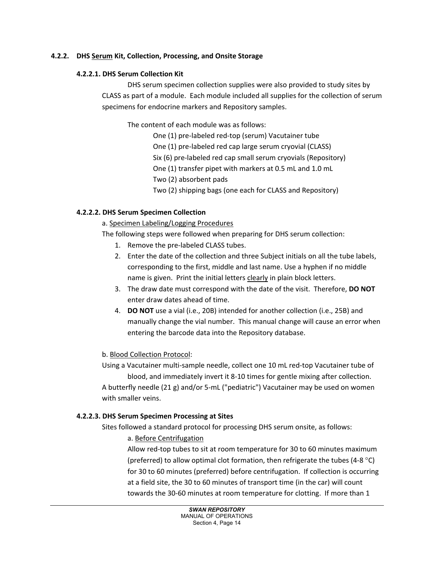### **4.2.2. DHS Serum Kit, Collection, Processing, and Onsite Storage**

### **4.2.2.1. DHS Serum Collection Kit**

DHS serum specimen collection supplies were also provided to study sites by CLASS as part of a module. Each module included all supplies for the collection of serum specimens for endocrine markers and Repository samples.

The content of each module was as follows:

One (1) pre-labeled red-top (serum) Vacutainer tube One (1) pre-labeled red cap large serum cryovial (CLASS) Six (6) pre-labeled red cap small serum cryovials (Repository) One (1) transfer pipet with markers at 0.5 mL and 1.0 mL Two (2) absorbent pads Two (2) shipping bags (one each for CLASS and Repository)

### **4.2.2.2. DHS Serum Specimen Collection**

### a. Specimen Labeling/Logging Procedures

The following steps were followed when preparing for DHS serum collection:

- 1. Remove the pre-labeled CLASS tubes.
- 2. Enter the date of the collection and three Subject initials on all the tube labels, corresponding to the first, middle and last name. Use a hyphen if no middle name is given. Print the initial letters clearly in plain block letters.
- 3. The draw date must correspond with the date of the visit. Therefore, **DO NOT** enter draw dates ahead of time.
- 4. **DO NOT** use a vial (i.e., 20B) intended for another collection (i.e., 25B) and manually change the vial number. This manual change will cause an error when entering the barcode data into the Repository database.

## b. Blood Collection Protocol:

Using a Vacutainer multi-sample needle, collect one 10 mL red-top Vacutainer tube of blood, and immediately invert it 8-10 times for gentle mixing after collection. A butterfly needle (21 g) and/or 5-mL ("pediatric") Vacutainer may be used on women with smaller veins.

#### **4.2.2.3. DHS Serum Specimen Processing at Sites**

Sites followed a standard protocol for processing DHS serum onsite, as follows:

### a. Before Centrifugation

Allow red-top tubes to sit at room temperature for 30 to 60 minutes maximum (preferred) to allow optimal clot formation, then refrigerate the tubes (4-8  $^{\circ}$ C) for 30 to 60 minutes (preferred) before centrifugation. If collection is occurring at a field site, the 30 to 60 minutes of transport time (in the car) will count towards the 30-60 minutes at room temperature for clotting. If more than 1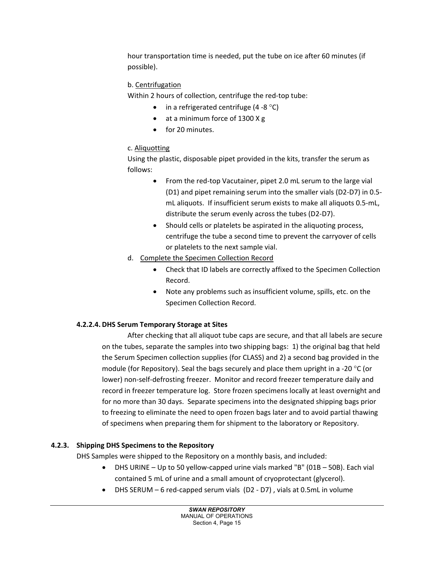hour transportation time is needed, put the tube on ice after 60 minutes (if possible).

## b. Centrifugation

Within 2 hours of collection, centrifuge the red-top tube:

- in a refrigerated centrifuge  $(4 8 °C)$
- at a minimum force of 1300 X g
- for 20 minutes.

# c. Aliquotting

Using the plastic, disposable pipet provided in the kits, transfer the serum as follows:

- From the red-top Vacutainer, pipet 2.0 mL serum to the large vial (D1) and pipet remaining serum into the smaller vials (D2-D7) in 0.5 mL aliquots. If insufficient serum exists to make all aliquots 0.5-mL, distribute the serum evenly across the tubes (D2-D7).
- Should cells or platelets be aspirated in the aliquoting process, centrifuge the tube a second time to prevent the carryover of cells or platelets to the next sample vial.
- d. Complete the Specimen Collection Record
	- Check that ID labels are correctly affixed to the Specimen Collection Record.
	- Note any problems such as insufficient volume, spills, etc. on the Specimen Collection Record.

## **4.2.2.4. DHS Serum Temporary Storage at Sites**

After checking that all aliquot tube caps are secure, and that all labels are secure on the tubes, separate the samples into two shipping bags: 1) the original bag that held the Serum Specimen collection supplies (for CLASS) and 2) a second bag provided in the module (for Repository). Seal the bags securely and place them upright in a -20  $^{\circ}$ C (or lower) non-self-defrosting freezer. Monitor and record freezer temperature daily and record in freezer temperature log. Store frozen specimens locally at least overnight and for no more than 30 days. Separate specimens into the designated shipping bags prior to freezing to eliminate the need to open frozen bags later and to avoid partial thawing of specimens when preparing them for shipment to the laboratory or Repository.

## **4.2.3. Shipping DHS Specimens to the Repository**

DHS Samples were shipped to the Repository on a monthly basis, and included:

- DHS URINE Up to 50 yellow-capped urine vials marked "B" (01B 50B). Each vial contained 5 mL of urine and a small amount of cryoprotectant (glycerol).
- DHS SERUM 6 red-capped serum vials (D2 D7) , vials at 0.5mL in volume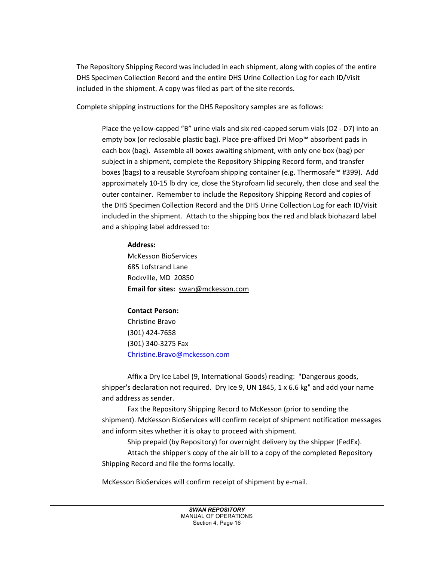The Repository Shipping Record was included in each shipment, along with copies of the entire DHS Specimen Collection Record and the entire DHS Urine Collection Log for each ID/Visit included in the shipment. A copy was filed as part of the site records.

Complete shipping instructions for the DHS Repository samples are as follows:

Place the yellow-capped "B" urine vials and six red-capped serum vials (D2 - D7) into an empty box (or reclosable plastic bag). Place pre-affixed Dri Mop™ absorbent pads in each box (bag). Assemble all boxes awaiting shipment, with only one box (bag) per subject in a shipment, complete the Repository Shipping Record form, and transfer boxes (bags) to a reusable Styrofoam shipping container (e.g. Thermosafe™ #399). Add approximately 10-15 lb dry ice, close the Styrofoam lid securely, then close and seal the outer container. Remember to include the Repository Shipping Record and copies of the DHS Specimen Collection Record and the DHS Urine Collection Log for each ID/Visit included in the shipment. Attach to the shipping box the red and black biohazard label and a shipping label addressed to:

## **Address:**

McKesson BioServices 685 Lofstrand Lane Rockville, MD 20850 **Email for sites:**[swan@mckesson.com](mailto:swan@mckessonbio.com)

## **Contact Person:**

Christine Bravo (301) 424-7658 (301) 340-3275 Fax [Christine.Bravo@mckesson.com](mailto:Christine.Bravo@mckesson.com)

Affix a Dry Ice Label (9, International Goods) reading: "Dangerous goods, shipper's declaration not required. Dry Ice 9, UN 1845, 1  $\times$  6.6 kg" and add your name and address as sender.

Fax the Repository Shipping Record to McKesson (prior to sending the shipment). McKesson BioServices will confirm receipt of shipment notification messages and inform sites whether it is okay to proceed with shipment.

Ship prepaid (by Repository) for overnight delivery by the shipper (FedEx). Attach the shipper's copy of the air bill to a copy of the completed Repository Shipping Record and file the forms locally.

McKesson BioServices will confirm receipt of shipment by e-mail.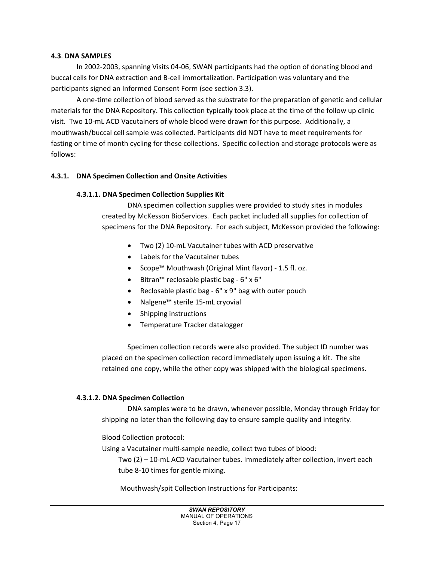#### **4.3**. **DNA SAMPLES**

In 2002-2003, spanning Visits 04-06, SWAN participants had the option of donating blood and buccal cells for DNA extraction and B-cell immortalization. Participation was voluntary and the participants signed an Informed Consent Form (see section 3.3).

A one-time collection of blood served as the substrate for the preparation of genetic and cellular materials for the DNA Repository. This collection typically took place at the time of the follow up clinic visit. Two 10-mL ACD Vacutainers of whole blood were drawn for this purpose. Additionally, a mouthwash/buccal cell sample was collected. Participants did NOT have to meet requirements for fasting or time of month cycling for these collections. Specific collection and storage protocols were as follows:

#### **4.3.1. DNA Specimen Collection and Onsite Activities**

#### **4.3.1.1. DNA Specimen Collection Supplies Kit**

DNA specimen collection supplies were provided to study sites in modules created by McKesson BioServices. Each packet included all supplies for collection of specimens for the DNA Repository. For each subject, McKesson provided the following:

- Two (2) 10-mL Vacutainer tubes with ACD preservative
- Labels for the Vacutainer tubes
- Scope™ Mouthwash (Original Mint flavor) 1.5 fl. oz.
- Bitran™ reclosable plastic bag 6" x 6"
- Reclosable plastic bag 6" x 9" bag with outer pouch
- Nalgene™ sterile 15-mL cryovial
- Shipping instructions
- Temperature Tracker datalogger

Specimen collection records were also provided. The subject ID number was placed on the specimen collection record immediately upon issuing a kit. The site retained one copy, while the other copy was shipped with the biological specimens.

#### **4.3.1.2. DNA Specimen Collection**

DNA samples were to be drawn, whenever possible, Monday through Friday for shipping no later than the following day to ensure sample quality and integrity.

#### Blood Collection protocol:

Using a Vacutainer multi-sample needle, collect two tubes of blood:

Two (2) – 10-mL ACD Vacutainer tubes. Immediately after collection, invert each tube 8-10 times for gentle mixing.

#### Mouthwash/spit Collection Instructions for Participants: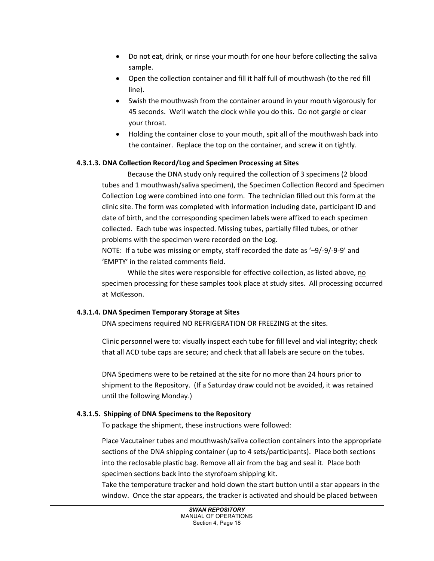- Do not eat, drink, or rinse your mouth for one hour before collecting the saliva sample.
- Open the collection container and fill it half full of mouthwash (to the red fill line).
- Swish the mouthwash from the container around in your mouth vigorously for 45 seconds. We'll watch the clock while you do this. Do not gargle or clear your throat.
- Holding the container close to your mouth, spit all of the mouthwash back into the container. Replace the top on the container, and screw it on tightly.

## **4.3.1.3. DNA Collection Record/Log and Specimen Processing at Sites**

Because the DNA study only required the collection of 3 specimens (2 blood tubes and 1 mouthwash/saliva specimen), the Specimen Collection Record and Specimen Collection Log were combined into one form. The technician filled out this form at the clinic site. The form was completed with information including date, participant ID and date of birth, and the corresponding specimen labels were affixed to each specimen collected. Each tube was inspected. Missing tubes, partially filled tubes, or other problems with the specimen were recorded on the Log.

NOTE: If a tube was missing or empty, staff recorded the date as '–9/-9/-9-9' and 'EMPTY' in the related comments field.

While the sites were responsible for effective collection, as listed above, no specimen processing for these samples took place at study sites. All processing occurred at McKesson.

## **4.3.1.4. DNA Specimen Temporary Storage at Sites**

DNA specimens required NO REFRIGERATION OR FREEZING at the sites.

Clinic personnel were to: visually inspect each tube for fill level and vial integrity; check that all ACD tube caps are secure; and check that all labels are secure on the tubes.

DNA Specimens were to be retained at the site for no more than 24 hours prior to shipment to the Repository. (If a Saturday draw could not be avoided, it was retained until the following Monday.)

## **4.3.1.5. Shipping of DNA Specimens to the Repository**

To package the shipment, these instructions were followed:

Place Vacutainer tubes and mouthwash/saliva collection containers into the appropriate sections of the DNA shipping container (up to 4 sets/participants). Place both sections into the reclosable plastic bag. Remove all air from the bag and seal it. Place both specimen sections back into the styrofoam shipping kit.

Take the temperature tracker and hold down the start button until a star appears in the window. Once the star appears, the tracker is activated and should be placed between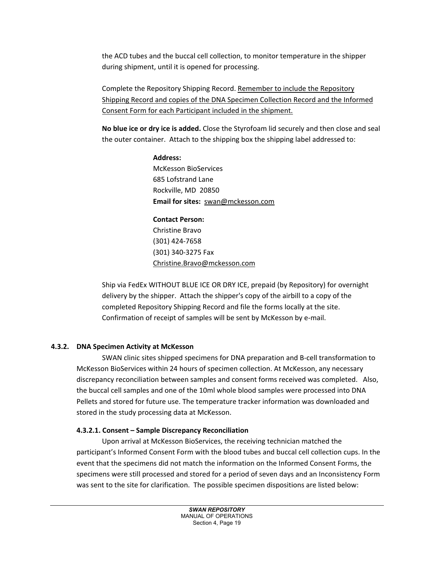the ACD tubes and the buccal cell collection, to monitor temperature in the shipper during shipment, until it is opened for processing.

Complete the Repository Shipping Record. Remember to include the Repository Shipping Record and copies of the DNA Specimen Collection Record and the Informed Consent Form for each Participant included in the shipment.

**No blue ice or dry ice is added.** Close the Styrofoam lid securely and then close and seal the outer container. Attach to the shipping box the shipping label addressed to:

> **Address:** McKesson BioServices 685 Lofstrand Lane Rockville, MD 20850 **Email for sites:**[swan@mckesson.com](mailto:swan@mckessonbio.com)

## **Contact Person:**

Christine Bravo (301) 424-7658 (301) 340-3275 Fax [Christine.Bravo@mckesson.com](mailto:Christine.Bravo@mckesson.com)

Ship via FedEx WITHOUT BLUE ICE OR DRY ICE, prepaid (by Repository) for overnight delivery by the shipper. Attach the shipper's copy of the airbill to a copy of the completed Repository Shipping Record and file the forms locally at the site. Confirmation of receipt of samples will be sent by McKesson by e-mail.

## **4.3.2. DNA Specimen Activity at McKesson**

SWAN clinic sites shipped specimens for DNA preparation and B-cell transformation to McKesson BioServices within 24 hours of specimen collection. At McKesson, any necessary discrepancy reconciliation between samples and consent forms received was completed. Also, the buccal cell samples and one of the 10ml whole blood samples were processed into DNA Pellets and stored for future use. The temperature tracker information was downloaded and stored in the study processing data at McKesson.

## **4.3.2.1. Consent – Sample Discrepancy Reconciliation**

Upon arrival at McKesson BioServices, the receiving technician matched the participant's Informed Consent Form with the blood tubes and buccal cell collection cups. In the event that the specimens did not match the information on the Informed Consent Forms, the specimens were still processed and stored for a period of seven days and an Inconsistency Form was sent to the site for clarification. The possible specimen dispositions are listed below: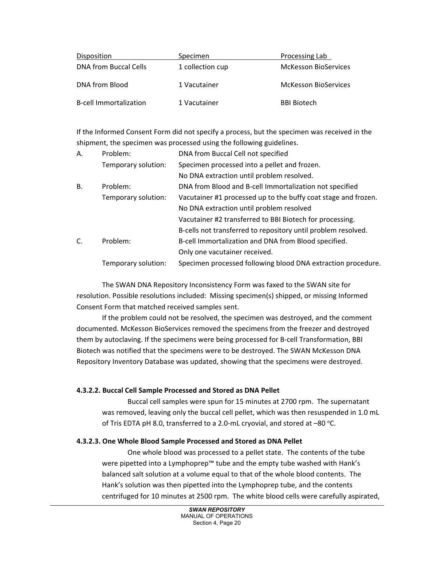| Disposition                   | Specimen         | Processing Lab              |
|-------------------------------|------------------|-----------------------------|
| DNA from Buccal Cells         | 1 collection cup | <b>McKesson BioServices</b> |
| DNA from Blood                | 1 Vacutainer     | <b>McKesson BioServices</b> |
| <b>B-cell Immortalization</b> | 1 Vacutainer     | <b>BBI Biotech</b>          |

If the Informed Consent Form did not specify a process, but the specimen was received in the shipment, the specimen was processed using the following guidelines.

| Α.        | Problem:            | DNA from Buccal Cell not specified                             |
|-----------|---------------------|----------------------------------------------------------------|
|           | Temporary solution: | Specimen processed into a pellet and frozen.                   |
|           |                     | No DNA extraction until problem resolved.                      |
| <b>B.</b> | Problem:            | DNA from Blood and B-cell Immortalization not specified        |
|           | Temporary solution: | Vacutainer #1 processed up to the buffy coat stage and frozen. |
|           |                     | No DNA extraction until problem resolved                       |
|           |                     | Vacutainer #2 transferred to BBI Biotech for processing.       |
|           |                     | B-cells not transferred to repository until problem resolved.  |
| C.        | Problem:            | B-cell Immortalization and DNA from Blood specified.           |
|           |                     | Only one vacutainer received.                                  |
|           | Temporary solution: | Specimen processed following blood DNA extraction procedure.   |
|           |                     |                                                                |

The SWAN DNA Repository Inconsistency Form was faxed to the SWAN site for resolution. Possible resolutions included: Missing specimen(s) shipped, or missing Informed Consent Form that matched received samples sent.

If the problem could not be resolved, the specimen was destroyed, and the comment documented. McKesson BioServices removed the specimens from the freezer and destroyed them by autoclaving. If the specimens were being processed for B-cell Transformation, BBI Biotech was notified that the specimens were to be destroyed. The SWAN McKesson DNA Repository Inventory Database was updated, showing that the specimens were destroyed.

#### **4.3.2.2. Buccal Cell Sample Processed and Stored as DNA Pellet**

Buccal cell samples were spun for 15 minutes at 2700 rpm. The supernatant was removed, leaving only the buccal cell pellet, which was then resuspended in 1.0 mL of Tris EDTA pH 8.0, transferred to a 2.0-mL cryovial, and stored at  $-80$  °C.

#### **4.3.2.3. One Whole Blood Sample Processed and Stored as DNA Pellet**

One whole blood was processed to a pellet state. The contents of the tube were pipetted into a Lymphoprep™ tube and the empty tube washed with Hank's balanced salt solution at a volume equal to that of the whole blood contents. The Hank's solution was then pipetted into the Lymphoprep tube, and the contents centrifuged for 10 minutes at 2500 rpm. The white blood cells were carefully aspirated,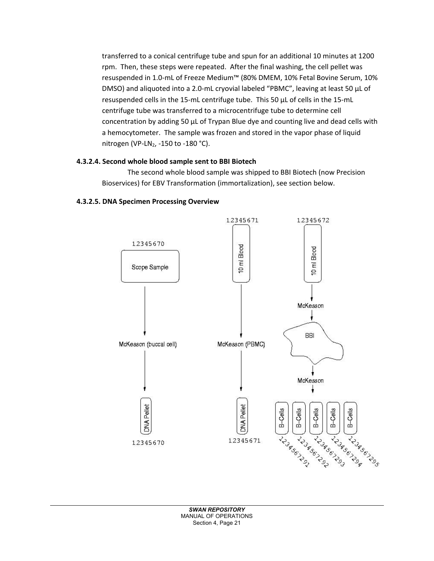transferred to a conical centrifuge tube and spun for an additional 10 minutes at 1200 rpm. Then, these steps were repeated. After the final washing, the cell pellet was resuspended in 1.0-mL of Freeze Medium™ (80% DMEM, 10% Fetal Bovine Serum, 10% DMSO) and aliquoted into a 2.0-mL cryovial labeled "PBMC", leaving at least 50 µL of resuspended cells in the 15-mL centrifuge tube. This 50 µL of cells in the 15-mL centrifuge tube was transferred to a microcentrifuge tube to determine cell concentration by adding 50 µL of Trypan Blue dye and counting live and dead cells with a hemocytometer. The sample was frozen and stored in the vapor phase of liquid nitrogen (VP-LN<sub>2</sub>, -150 to -180 °C).

## **4.3.2.4. Second whole blood sample sent to BBI Biotech**

The second whole blood sample was shipped to BBI Biotech (now Precision Bioservices) for EBV Transformation (immortalization), see section below.



### **4.3.2.5. DNA Specimen Processing Overview**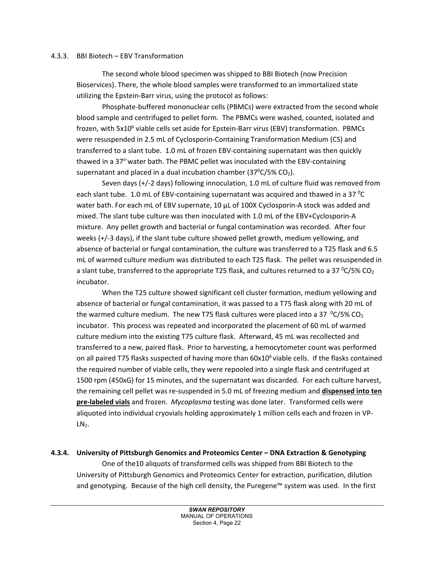#### 4.3.3. BBI Biotech – EBV Transformation

The second whole blood specimen was shipped to BBI Biotech (now Precision Bioservices). There, the whole blood samples were transformed to an immortalized state utilizing the Epstein-Barr virus, using the protocol as follows:

Phosphate-buffered mononuclear cells (PBMCs) were extracted from the second whole blood sample and centrifuged to pellet form. The PBMCs were washed, counted, isolated and frozen, with 5x10<sup>6</sup> viable cells set aside for Epstein-Barr virus (EBV) transformation. PBMCs were resuspended in 2.5 mL of Cyclosporin-Containing Transformation Medium (CS) and transferred to a slant tube. 1.0 mL of frozen EBV-containing supernatant was then quickly thawed in a 37<sup>o-</sup>water bath. The PBMC pellet was inoculated with the EBV-containing supernatant and placed in a dual incubation chamber  $(37^{\circ}C/5\% CO<sub>2</sub>)$ .

Seven days (+/-2 days) following innoculation, 1.0 mL of culture fluid was removed from each slant tube. 1.0 mL of EBV-containing supernatant was acquired and thawed in a 37  $^{\circ}$ C water bath. For each mL of EBV supernate, 10 µL of 100X Cyclosporin-A stock was added and mixed. The slant tube culture was then inoculated with 1.0 mL of the EBV+Cyclosporin-A mixture. Any pellet growth and bacterial or fungal contamination was recorded. After four weeks (+/-3 days), if the slant tube culture showed pellet growth, medium yellowing, and absence of bacterial or fungal contamination, the culture was transferred to a T25 flask and 6.5 mL of warmed culture medium was distributed to each T25 flask. The pellet was resuspended in a slant tube, transferred to the appropriate T25 flask, and cultures returned to a 37  $\rm ^0C/S\%$  CO<sub>2</sub> incubator.

When the T25 culture showed significant cell cluster formation, medium yellowing and absence of bacterial or fungal contamination, it was passed to a T75 flask along with 20 mL of the warmed culture medium. The new T75 flask cultures were placed into a 37  $\,^{\circ}$ C/5% CO<sub>2</sub> incubator. This process was repeated and incorporated the placement of 60 mL of warmed culture medium into the existing T75 culture flask. Afterward, 45 mL was recollected and transferred to a new, paired flask. Prior to harvesting, a hemocytometer count was performed on all paired T75 flasks suspected of having more than  $60x10<sup>6</sup>$  viable cells. If the flasks contained the required number of viable cells, they were repooled into a single flask and centrifuged at 1500 rpm (450xG) for 15 minutes, and the supernatant was discarded. For each culture harvest, the remaining cell pellet was re-suspended in 5.0 mL of freezing medium and **dispensed into ten pre-labeled vials** and frozen. *Mycoplasma* testing was done later. Transformed cells were aliquoted into individual cryovials holding approximately 1 million cells each and frozen in VP- $LN<sub>2</sub>$ .

**4.3.4. University of Pittsburgh Genomics and Proteomics Center – DNA Extraction & Genotyping**

One of the10 aliquots of transformed cells was shipped from BBI Biotech to the University of Pittsburgh Genomics and Proteomics Center for extraction, purification, dilution and genotyping. Because of the high cell density, the Puregene™ system was used. In the first